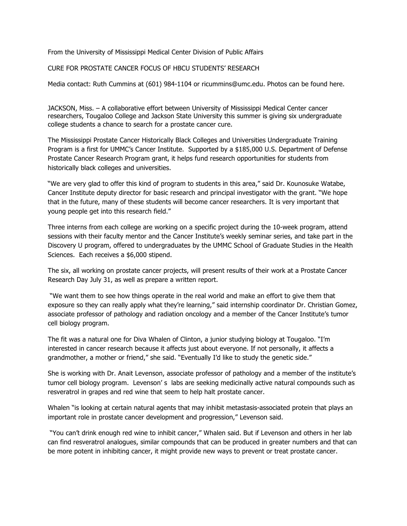From the University of Mississippi Medical Center Division of Public Affairs

CURE FOR PROSTATE CANCER FOCUS OF HBCU STUDENTS' RESEARCH

Media contact: Ruth Cummins at (601) 984-1104 or ricummins@umc.edu. Photos can be found here.

JACKSON, Miss. – A collaborative effort between University of Mississippi Medical Center cancer researchers, Tougaloo College and Jackson State University this summer is giving six undergraduate college students a chance to search for a prostate cancer cure.

The Mississippi Prostate Cancer Historically Black Colleges and Universities Undergraduate Training Program is a first for UMMC's Cancer Institute. Supported by a \$185,000 U.S. Department of Defense Prostate Cancer Research Program grant, it helps fund research opportunities for students from historically black colleges and universities.

"We are very glad to offer this kind of program to students in this area," said Dr. Kounosuke Watabe, Cancer Institute deputy director for basic research and principal investigator with the grant. "We hope that in the future, many of these students will become cancer researchers. It is very important that young people get into this research field."

Three interns from each college are working on a specific project during the 10-week program, attend sessions with their faculty mentor and the Cancer Institute's weekly seminar series, and take part in the Discovery U program, offered to undergraduates by the UMMC School of Graduate Studies in the Health Sciences. Each receives a \$6,000 stipend.

The six, all working on prostate cancer projects, will present results of their work at a Prostate Cancer Research Day July 31, as well as prepare a written report.

 "We want them to see how things operate in the real world and make an effort to give them that exposure so they can really apply what they're learning," said internship coordinator Dr. Christian Gomez, associate professor of pathology and radiation oncology and a member of the Cancer Institute's tumor cell biology program.

The fit was a natural one for Diva Whalen of Clinton, a junior studying biology at Tougaloo. "I'm interested in cancer research because it affects just about everyone. If not personally, it affects a grandmother, a mother or friend," she said. "Eventually I'd like to study the genetic side."

She is working with Dr. Anait Levenson, associate professor of pathology and a member of the institute's tumor cell biology program. Levenson' s labs are seeking medicinally active natural compounds such as resveratrol in grapes and red wine that seem to help halt prostate cancer.

Whalen "is looking at certain natural agents that may inhibit metastasis-associated protein that plays an important role in prostate cancer development and progression," Levenson said.

 "You can't drink enough red wine to inhibit cancer," Whalen said. But if Levenson and others in her lab can find resveratrol analogues, similar compounds that can be produced in greater numbers and that can be more potent in inhibiting cancer, it might provide new ways to prevent or treat prostate cancer.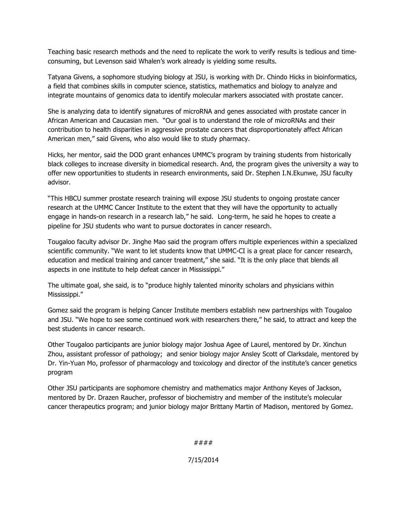Teaching basic research methods and the need to replicate the work to verify results is tedious and timeconsuming, but Levenson said Whalen's work already is yielding some results.

Tatyana Givens, a sophomore studying biology at JSU, is working with Dr. Chindo Hicks in bioinformatics, a field that combines skills in computer science, statistics, mathematics and biology to analyze and integrate mountains of genomics data to identify molecular markers associated with prostate cancer.

She is analyzing data to identify signatures of microRNA and genes associated with prostate cancer in African American and Caucasian men. "Our goal is to understand the role of microRNAs and their contribution to health disparities in aggressive prostate cancers that disproportionately affect African American men," said Givens, who also would like to study pharmacy.

Hicks, her mentor, said the DOD grant enhances UMMC's program by training students from historically black colleges to increase diversity in biomedical research. And, the program gives the university a way to offer new opportunities to students in research environments, said Dr. Stephen I.N.Ekunwe, JSU faculty advisor.

"This HBCU summer prostate research training will expose JSU students to ongoing prostate cancer research at the UMMC Cancer Institute to the extent that they will have the opportunity to actually engage in hands-on research in a research lab," he said. Long-term, he said he hopes to create a pipeline for JSU students who want to pursue doctorates in cancer research.

Tougaloo faculty advisor Dr. Jinghe Mao said the program offers multiple experiences within a specialized scientific community. "We want to let students know that UMMC-CI is a great place for cancer research, education and medical training and cancer treatment," she said. "It is the only place that blends all aspects in one institute to help defeat cancer in Mississippi."

The ultimate goal, she said, is to "produce highly talented minority scholars and physicians within Mississippi."

Gomez said the program is helping Cancer Institute members establish new partnerships with Tougaloo and JSU. "We hope to see some continued work with researchers there," he said, to attract and keep the best students in cancer research.

Other Tougaloo participants are junior biology major Joshua Agee of Laurel, mentored by Dr. Xinchun Zhou, assistant professor of pathology; and senior biology major Ansley Scott of Clarksdale, mentored by Dr. Yin-Yuan Mo, professor of pharmacology and toxicology and director of the institute's cancer genetics program

Other JSU participants are sophomore chemistry and mathematics major Anthony Keyes of Jackson, mentored by Dr. Drazen Raucher, professor of biochemistry and member of the institute's molecular cancer therapeutics program; and junior biology major Brittany Martin of Madison, mentored by Gomez.

####

7/15/2014